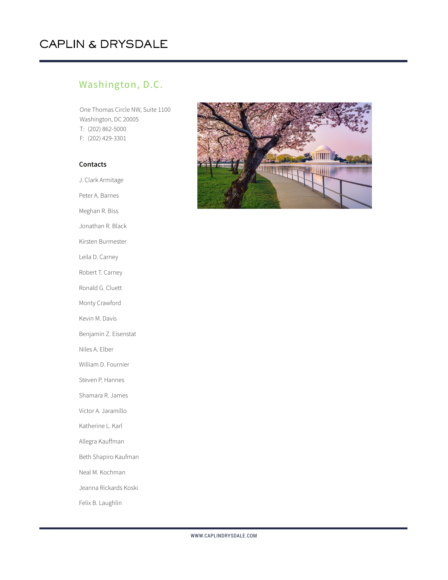## CAPLIN & DRYSDALE

## Washington, D.C.

One Thomas Circle NW, Suite 1100 Washington, DC 20005 T: (202) 862-5000 F: (202) 429-3301

## **Contacts**

J. Clark Armitage Peter A. Barnes Meghan R. Biss Jonathan R. Black Kirsten Burmester Leila D. Carney Robert T. Carney Ronald G. Cluett Monty Crawford Kevin M. Davis Benjamin Z. Eisenstat Niles A. Elber William D. Fournier Steven P. Hannes Shamara R. James Victor A. Jaramillo Katherine L. Karl Allegra Kauffman Beth Shapiro Kaufman Neal M. Kochman Jeanna Rickards Koski

Felix B. Laughlin

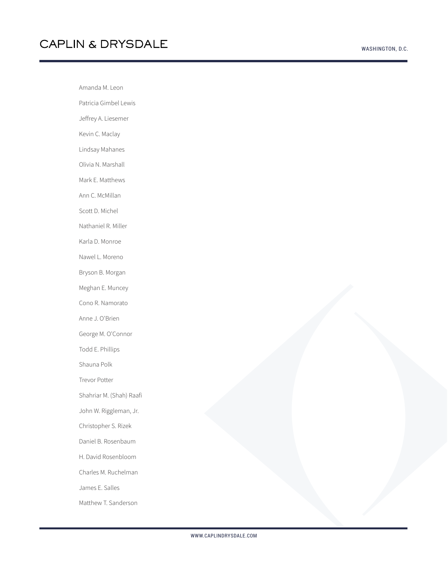Amanda M. Leon Patricia Gimbel Lewis Jeffrey A. Liesemer Kevin C. Maclay Lindsay Mahanes Olivia N. Marshall Mark E. Matthews Ann C. McMillan Scott D. Michel Nathaniel R. Miller Karla D. Monroe Nawel L. Moreno Bryson B. Morgan Meghan E. Muncey Cono R. Namorato Anne J. O'Brien George M. O'Connor Todd E. Phillips Shauna Polk Trevor Potter Shahriar M. (Shah) Raafi John W. Riggleman, Jr. Christopher S. Rizek Daniel B. Rosenbaum H. David Rosenbloom Charles M. Ruchelman James E. Salles

Matthew T. Sanderson